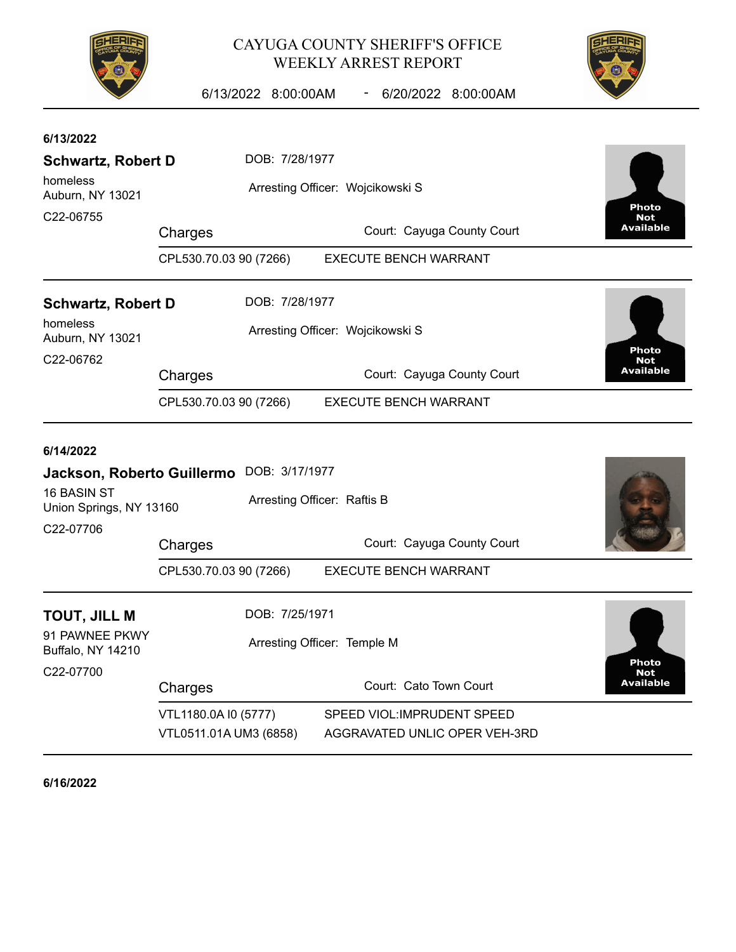

## CAYUGA COUNTY SHERIFF'S OFFICE WEEKLY ARREST REPORT



6/13/2022 8:00:00AM - 6/20/2022 8:00:00AM

| 6/13/2022<br><b>Schwartz, Robert D</b><br>homeless<br>Auburn, NY 13021 | DOB: 7/28/1977<br>Arresting Officer: Wojcikowski S                       |                                  |  |                                                              |              | <b>Photo</b>                   |  |  |
|------------------------------------------------------------------------|--------------------------------------------------------------------------|----------------------------------|--|--------------------------------------------------------------|--------------|--------------------------------|--|--|
| C22-06755                                                              | Charges                                                                  |                                  |  | Court: Cayuga County Court                                   |              | <b>Not</b><br><b>Available</b> |  |  |
|                                                                        | CPL530.70.03 90 (7266)<br><b>EXECUTE BENCH WARRANT</b>                   |                                  |  |                                                              |              |                                |  |  |
| <b>Schwartz, Robert D</b>                                              |                                                                          | DOB: 7/28/1977                   |  |                                                              |              |                                |  |  |
| homeless<br>Auburn, NY 13021<br>C22-06762                              |                                                                          | Arresting Officer: Wojcikowski S |  |                                                              | <b>Photo</b> |                                |  |  |
|                                                                        | Charges                                                                  |                                  |  | Court: Cayuga County Court                                   |              | <b>Not</b><br><b>Available</b> |  |  |
|                                                                        | <b>EXECUTE BENCH WARRANT</b><br>CPL530.70.03 90 (7266)                   |                                  |  |                                                              |              |                                |  |  |
| 6/14/2022<br>16 BASIN ST<br>Union Springs, NY 13160<br>C22-07706       | Jackson, Roberto Guillermo DOB: 3/17/1977<br>Arresting Officer: Raftis B |                                  |  |                                                              |              |                                |  |  |
|                                                                        | Charges                                                                  |                                  |  | Court: Cayuga County Court                                   |              |                                |  |  |
|                                                                        | CPL530.70.03 90 (7266)                                                   |                                  |  | <b>EXECUTE BENCH WARRANT</b>                                 |              |                                |  |  |
| TOUT, JILL M<br>91 PAWNEE PKWY                                         | DOB: 7/25/1971                                                           |                                  |  |                                                              |              |                                |  |  |
| Buffalo, NY 14210                                                      | Arresting Officer: Temple M                                              |                                  |  |                                                              |              | Photo                          |  |  |
| C22-07700                                                              | Charges                                                                  |                                  |  | Court: Cato Town Court                                       |              | <b>Not</b><br><b>Available</b> |  |  |
|                                                                        | VTL1180.0A I0 (5777)<br>VTL0511.01A UM3 (6858)                           |                                  |  | SPEED VIOL: IMPRUDENT SPEED<br>AGGRAVATED UNLIC OPER VEH-3RD |              |                                |  |  |

**6/16/2022**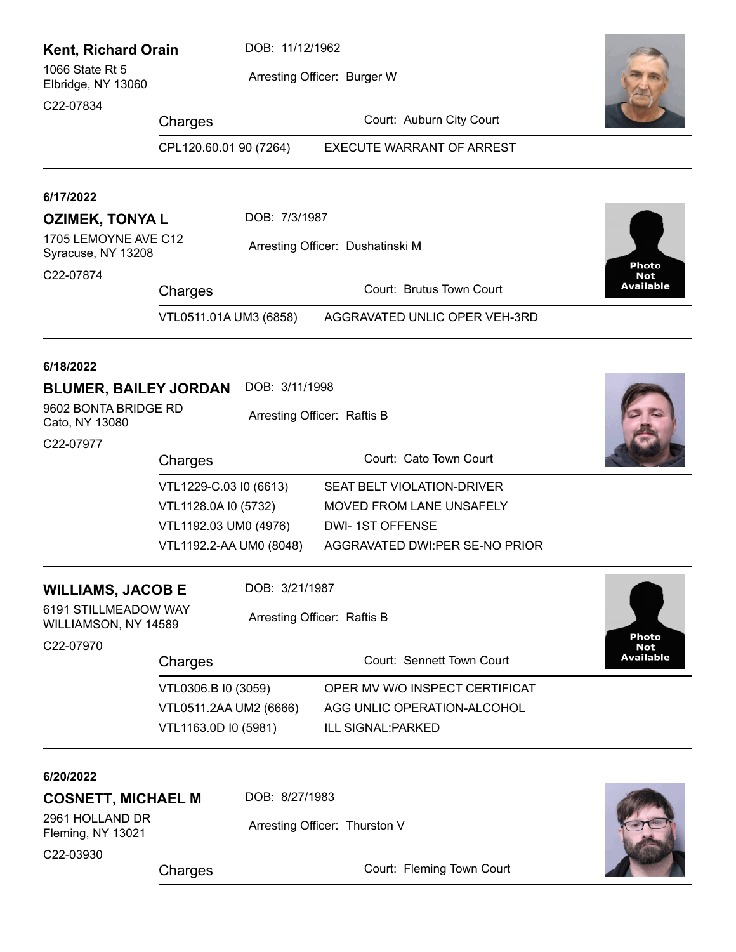| <b>Kent, Richard Orain</b>                   | DOB: 11/12/1962                               |                             |                                  |                                |
|----------------------------------------------|-----------------------------------------------|-----------------------------|----------------------------------|--------------------------------|
| 1066 State Rt 5<br>Elbridge, NY 13060        |                                               |                             | Arresting Officer: Burger W      |                                |
| C22-07834                                    | Charges                                       |                             | Court: Auburn City Court         |                                |
|                                              | CPL120.60.01 90 (7264)                        |                             | <b>EXECUTE WARRANT OF ARREST</b> |                                |
| 6/17/2022                                    |                                               |                             |                                  |                                |
| <b>OZIMEK, TONYAL</b>                        |                                               | DOB: 7/3/1987               |                                  |                                |
| 1705 LEMOYNE AVE C12<br>Syracuse, NY 13208   |                                               |                             | Arresting Officer: Dushatinski M | <b>Photo</b>                   |
| C22-07874                                    | Charges                                       |                             | Court: Brutus Town Court         | <b>Not</b><br>Available        |
|                                              | VTL0511.01A UM3 (6858)                        |                             | AGGRAVATED UNLIC OPER VEH-3RD    |                                |
| 6/18/2022                                    |                                               |                             |                                  |                                |
| <b>BLUMER, BAILEY JORDAN</b>                 |                                               | DOB: 3/11/1998              |                                  |                                |
| 9602 BONTA BRIDGE RD<br>Cato, NY 13080       |                                               |                             |                                  |                                |
| C22-07977                                    |                                               |                             |                                  |                                |
|                                              | Charges                                       |                             | Court: Cato Town Court           |                                |
|                                              | VTL1229-C.03 I0 (6613)                        |                             | SEAT BELT VIOLATION-DRIVER       |                                |
|                                              | VTL1128.0A I0 (5732)<br>VTL1192.03 UM0 (4976) |                             | MOVED FROM LANE UNSAFELY         |                                |
|                                              |                                               |                             | <b>DWI-1ST OFFENSE</b>           |                                |
| VTL1192.2-AA UM0 (8048)                      |                                               |                             | AGGRAVATED DWI:PER SE-NO PRIOR   |                                |
| <b>WILLIAMS, JACOB E</b>                     |                                               | DOB: 3/21/1987              |                                  |                                |
| 6191 STILLMEADOW WAY<br>WILLIAMSON, NY 14589 |                                               | Arresting Officer: Raftis B |                                  | Photo                          |
| C22-07970                                    | Charges                                       |                             | Court: Sennett Town Court        | <b>Not</b><br><b>Available</b> |
|                                              | VTL0306.B I0 (3059)                           |                             | OPER MV W/O INSPECT CERTIFICAT   |                                |
|                                              | VTL0511.2AA UM2 (6666)                        |                             | AGG UNLIC OPERATION-ALCOHOL      |                                |
|                                              | VTL1163.0D I0 (5981)                          |                             | ILL SIGNAL: PARKED               |                                |
| 6/20/2022                                    |                                               |                             |                                  |                                |
| <b>COSNETT, MICHAEL M</b>                    |                                               | DOB: 8/27/1983              |                                  |                                |
| 2961 HOLLAND DR<br>Fleming, NY 13021         |                                               |                             | Arresting Officer: Thurston V    |                                |
| C22-03930                                    | Charges                                       |                             | Court: Fleming Town Court        |                                |